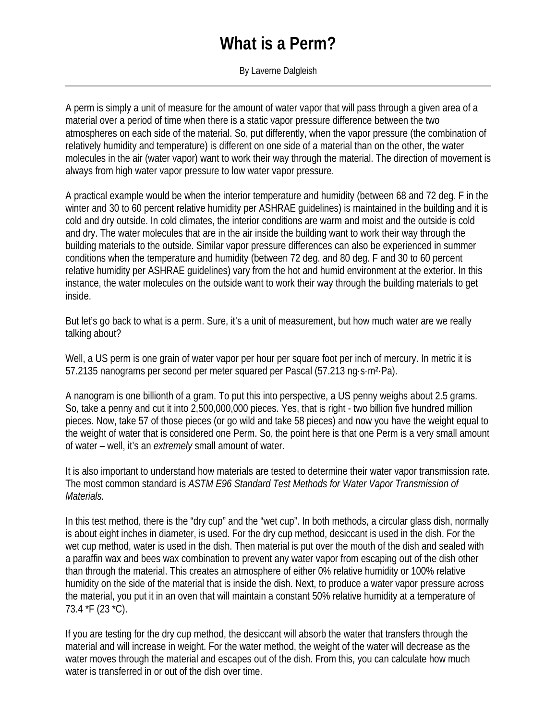## **What is a Perm?**

By Laverne Dalgleish

A perm is simply a unit of measure for the amount of water vapor that will pass through a given area of a material over a period of time when there is a static vapor pressure difference between the two atmospheres on each side of the material. So, put differently, when the vapor pressure (the combination of relatively humidity and temperature) is different on one side of a material than on the other, the water molecules in the air (water vapor) want to work their way through the material. The direction of movement is always from high water vapor pressure to low water vapor pressure.

A practical example would be when the interior temperature and humidity (between 68 and 72 deg. F in the winter and 30 to 60 percent relative humidity per ASHRAE guidelines) is maintained in the building and it is cold and dry outside. In cold climates, the interior conditions are warm and moist and the outside is cold and dry. The water molecules that are in the air inside the building want to work their way through the building materials to the outside. Similar vapor pressure differences can also be experienced in summer conditions when the temperature and humidity (between 72 deg. and 80 deg. F and 30 to 60 percent relative humidity per ASHRAE guidelines) vary from the hot and humid environment at the exterior. In this instance, the water molecules on the outside want to work their way through the building materials to get inside.

But let's go back to what is a perm. Sure, it's a unit of measurement, but how much water are we really talking about?

Well, a US perm is one grain of water vapor per hour per square foot per inch of mercury. In metric it is 57.2135 nanograms per second per meter squared per Pascal (57.213 ng·s·m²·Pa).

A nanogram is one billionth of a gram. To put this into perspective, a US penny weighs about 2.5 grams. So, take a penny and cut it into 2,500,000,000 pieces. Yes, that is right - two billion five hundred million pieces. Now, take 57 of those pieces (or go wild and take 58 pieces) and now you have the weight equal to the weight of water that is considered one Perm. So, the point here is that one Perm is a very small amount of water – well, it's an *extremely* small amount of water.

It is also important to understand how materials are tested to determine their water vapor transmission rate. The most common standard is *ASTM E96 Standard Test Methods for Water Vapor Transmission of Materials.*

In this test method, there is the "dry cup" and the "wet cup". In both methods, a circular glass dish, normally is about eight inches in diameter, is used. For the dry cup method, desiccant is used in the dish. For the wet cup method, water is used in the dish. Then material is put over the mouth of the dish and sealed with a paraffin wax and bees wax combination to prevent any water vapor from escaping out of the dish other than through the material. This creates an atmosphere of either 0% relative humidity or 100% relative humidity on the side of the material that is inside the dish. Next, to produce a water vapor pressure across the material, you put it in an oven that will maintain a constant 50% relative humidity at a temperature of 73.4 \*F (23 \*C).

If you are testing for the dry cup method, the desiccant will absorb the water that transfers through the material and will increase in weight. For the water method, the weight of the water will decrease as the water moves through the material and escapes out of the dish. From this, you can calculate how much water is transferred in or out of the dish over time.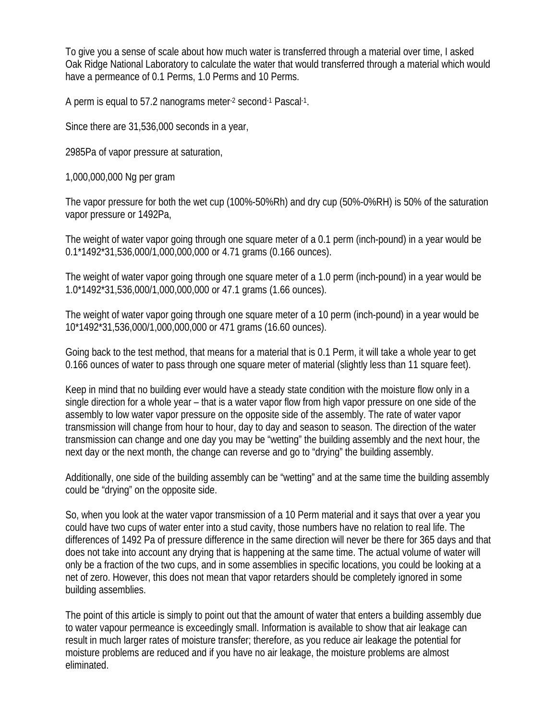To give you a sense of scale about how much water is transferred through a material over time, I asked Oak Ridge National Laboratory to calculate the water that would transferred through a material which would have a permeance of 0.1 Perms, 1.0 Perms and 10 Perms.

A perm is equal to 57.2 nanograms meter-2 second-1 Pascal-1.

Since there are 31,536,000 seconds in a year,

2985Pa of vapor pressure at saturation,

1,000,000,000 Ng per gram

The vapor pressure for both the wet cup (100%-50%Rh) and dry cup (50%-0%RH) is 50% of the saturation vapor pressure or 1492Pa,

The weight of water vapor going through one square meter of a 0.1 perm (inch-pound) in a year would be 0.1\*1492\*31,536,000/1,000,000,000 or 4.71 grams (0.166 ounces).

The weight of water vapor going through one square meter of a 1.0 perm (inch-pound) in a year would be 1.0\*1492\*31,536,000/1,000,000,000 or 47.1 grams (1.66 ounces).

The weight of water vapor going through one square meter of a 10 perm (inch-pound) in a year would be 10\*1492\*31,536,000/1,000,000,000 or 471 grams (16.60 ounces).

Going back to the test method, that means for a material that is 0.1 Perm, it will take a whole year to get 0.166 ounces of water to pass through one square meter of material (slightly less than 11 square feet).

Keep in mind that no building ever would have a steady state condition with the moisture flow only in a single direction for a whole year – that is a water vapor flow from high vapor pressure on one side of the assembly to low water vapor pressure on the opposite side of the assembly. The rate of water vapor transmission will change from hour to hour, day to day and season to season. The direction of the water transmission can change and one day you may be "wetting" the building assembly and the next hour, the next day or the next month, the change can reverse and go to "drying" the building assembly.

Additionally, one side of the building assembly can be "wetting" and at the same time the building assembly could be "drying" on the opposite side.

So, when you look at the water vapor transmission of a 10 Perm material and it says that over a year you could have two cups of water enter into a stud cavity, those numbers have no relation to real life. The differences of 1492 Pa of pressure difference in the same direction will never be there for 365 days and that does not take into account any drying that is happening at the same time. The actual volume of water will only be a fraction of the two cups, and in some assemblies in specific locations, you could be looking at a net of zero. However, this does not mean that vapor retarders should be completely ignored in some building assemblies.

The point of this article is simply to point out that the amount of water that enters a building assembly due to water vapour permeance is exceedingly small. Information is available to show that air leakage can result in much larger rates of moisture transfer; therefore, as you reduce air leakage the potential for moisture problems are reduced and if you have no air leakage, the moisture problems are almost eliminated.